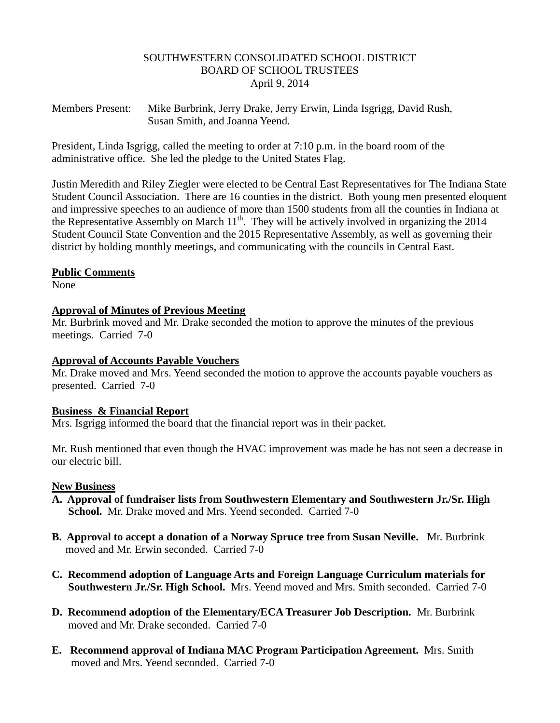### SOUTHWESTERN CONSOLIDATED SCHOOL DISTRICT BOARD OF SCHOOL TRUSTEES April 9, 2014

Members Present: Mike Burbrink, Jerry Drake, Jerry Erwin, Linda Isgrigg, David Rush, Susan Smith, and Joanna Yeend.

President, Linda Isgrigg, called the meeting to order at 7:10 p.m. in the board room of the administrative office. She led the pledge to the United States Flag.

Justin Meredith and Riley Ziegler were elected to be Central East Representatives for The Indiana State Student Council Association. There are 16 counties in the district. Both young men presented eloquent and impressive speeches to an audience of more than 1500 students from all the counties in Indiana at the Representative Assembly on March  $11<sup>th</sup>$ . They will be actively involved in organizing the 2014 Student Council State Convention and the 2015 Representative Assembly, as well as governing their district by holding monthly meetings, and communicating with the councils in Central East.

### **Public Comments**

None

### **Approval of Minutes of Previous Meeting**

Mr. Burbrink moved and Mr. Drake seconded the motion to approve the minutes of the previous meetings. Carried 7-0

### **Approval of Accounts Payable Vouchers**

Mr. Drake moved and Mrs. Yeend seconded the motion to approve the accounts payable vouchers as presented. Carried 7-0

### **Business & Financial Report**

Mrs. Isgrigg informed the board that the financial report was in their packet.

Mr. Rush mentioned that even though the HVAC improvement was made he has not seen a decrease in our electric bill.

### **New Business**

- **A. Approval of fundraiser lists from Southwestern Elementary and Southwestern Jr./Sr. High School.** Mr. Drake moved and Mrs. Yeend seconded. Carried 7-0
- **B. Approval to accept a donation of a Norway Spruce tree from Susan Neville.** Mr. Burbrink moved and Mr. Erwin seconded. Carried 7-0
- **C. Recommend adoption of Language Arts and Foreign Language Curriculum materials for Southwestern Jr./Sr. High School.** Mrs. Yeend moved and Mrs. Smith seconded. Carried 7-0
- **D. Recommend adoption of the Elementary/ECA Treasurer Job Description.** Mr. Burbrink moved and Mr. Drake seconded. Carried 7-0
- **E. Recommend approval of Indiana MAC Program Participation Agreement.** Mrs. Smith moved and Mrs. Yeend seconded. Carried 7-0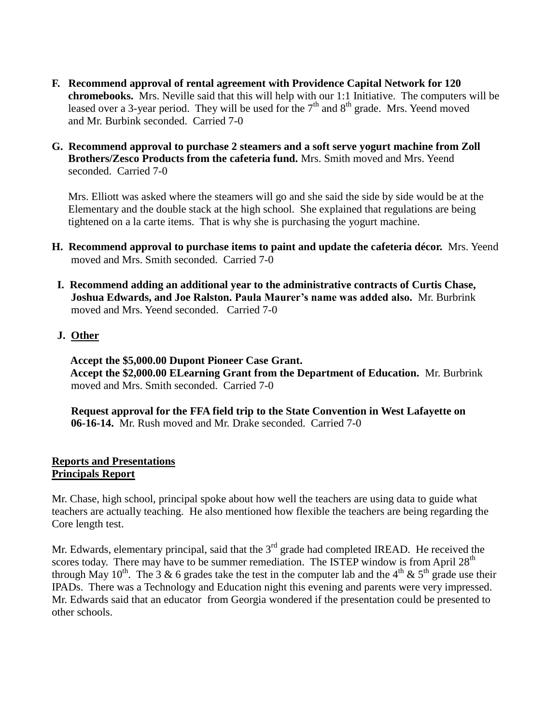- **F. Recommend approval of rental agreement with Providence Capital Network for 120 chromebooks.** Mrs. Neville said that this will help with our 1:1 Initiative. The computers will be leased over a 3-year period. They will be used for the  $7<sup>th</sup>$  and  $8<sup>th</sup>$  grade. Mrs. Yeend moved and Mr. Burbink seconded. Carried 7-0
- **G. Recommend approval to purchase 2 steamers and a soft serve yogurt machine from Zoll Brothers/Zesco Products from the cafeteria fund.** Mrs. Smith moved and Mrs. Yeend seconded. Carried 7-0

 Mrs. Elliott was asked where the steamers will go and she said the side by side would be at the Elementary and the double stack at the high school. She explained that regulations are being tightened on a la carte items. That is why she is purchasing the yogurt machine.

- **H. Recommend approval to purchase items to paint and update the cafeteria décor.** Mrs. Yeend moved and Mrs. Smith seconded. Carried 7-0
- **I. Recommend adding an additional year to the administrative contracts of Curtis Chase, Joshua Edwards, and Joe Ralston. Paula Maurer's name was added also.** Mr. Burbrink moved and Mrs. Yeend seconded. Carried 7-0
- **J. Other**

 **Accept the \$5,000.00 Dupont Pioneer Case Grant. Accept the \$2,000.00 ELearning Grant from the Department of Education.** Mr. Burbrink moved and Mrs. Smith seconded. Carried 7-0

 **Request approval for the FFA field trip to the State Convention in West Lafayette on 06-16-14.** Mr. Rush moved and Mr. Drake seconded. Carried 7-0

## **Reports and Presentations Principals Report**

Mr. Chase, high school, principal spoke about how well the teachers are using data to guide what teachers are actually teaching. He also mentioned how flexible the teachers are being regarding the Core length test.

Mr. Edwards, elementary principal, said that the 3<sup>rd</sup> grade had completed IREAD. He received the scores today. There may have to be summer remediation. The ISTEP window is from April  $28<sup>th</sup>$ through May 10<sup>th</sup>. The 3 & 6 grades take the test in the computer lab and the 4<sup>th</sup> & 5<sup>th</sup> grade use their IPADs. There was a Technology and Education night this evening and parents were very impressed. Mr. Edwards said that an educator from Georgia wondered if the presentation could be presented to other schools.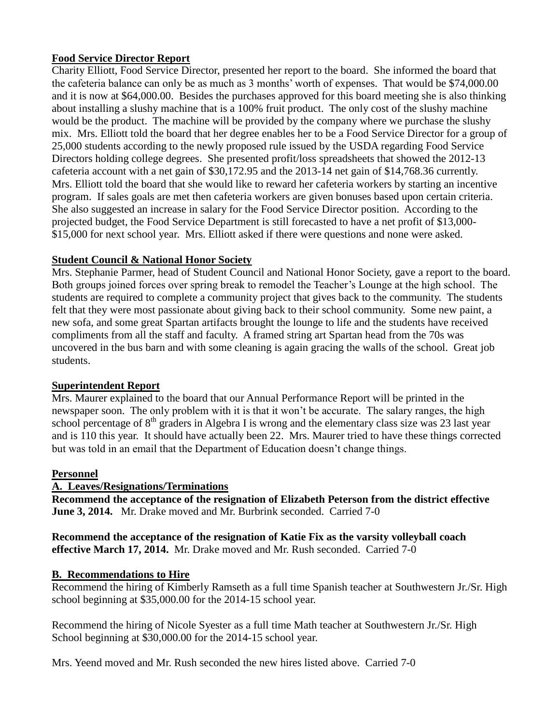# **Food Service Director Report**

Charity Elliott, Food Service Director, presented her report to the board. She informed the board that the cafeteria balance can only be as much as 3 months' worth of expenses. That would be \$74,000.00 and it is now at \$64,000.00. Besides the purchases approved for this board meeting she is also thinking about installing a slushy machine that is a 100% fruit product. The only cost of the slushy machine would be the product. The machine will be provided by the company where we purchase the slushy mix. Mrs. Elliott told the board that her degree enables her to be a Food Service Director for a group of 25,000 students according to the newly proposed rule issued by the USDA regarding Food Service Directors holding college degrees. She presented profit/loss spreadsheets that showed the 2012-13 cafeteria account with a net gain of \$30,172.95 and the 2013-14 net gain of \$14,768.36 currently. Mrs. Elliott told the board that she would like to reward her cafeteria workers by starting an incentive program. If sales goals are met then cafeteria workers are given bonuses based upon certain criteria. She also suggested an increase in salary for the Food Service Director position. According to the projected budget, the Food Service Department is still forecasted to have a net profit of \$13,000- \$15,000 for next school year. Mrs. Elliott asked if there were questions and none were asked.

## **Student Council & National Honor Society**

Mrs. Stephanie Parmer, head of Student Council and National Honor Society, gave a report to the board. Both groups joined forces over spring break to remodel the Teacher's Lounge at the high school. The students are required to complete a community project that gives back to the community. The students felt that they were most passionate about giving back to their school community. Some new paint, a new sofa, and some great Spartan artifacts brought the lounge to life and the students have received compliments from all the staff and faculty. A framed string art Spartan head from the 70s was uncovered in the bus barn and with some cleaning is again gracing the walls of the school. Great job students.

## **Superintendent Report**

Mrs. Maurer explained to the board that our Annual Performance Report will be printed in the newspaper soon. The only problem with it is that it won't be accurate. The salary ranges, the high school percentage of  $8<sup>th</sup>$  graders in Algebra I is wrong and the elementary class size was 23 last year and is 110 this year. It should have actually been 22. Mrs. Maurer tried to have these things corrected but was told in an email that the Department of Education doesn't change things.

## **Personnel**

# **A. Leaves/Resignations/Terminations**

**Recommend the acceptance of the resignation of Elizabeth Peterson from the district effective June 3, 2014.** Mr. Drake moved and Mr. Burbrink seconded. Carried 7-0

**Recommend the acceptance of the resignation of Katie Fix as the varsity volleyball coach effective March 17, 2014.** Mr. Drake moved and Mr. Rush seconded. Carried 7-0

## **B. Recommendations to Hire**

Recommend the hiring of Kimberly Ramseth as a full time Spanish teacher at Southwestern Jr./Sr. High school beginning at \$35,000.00 for the 2014-15 school year.

Recommend the hiring of Nicole Syester as a full time Math teacher at Southwestern Jr./Sr. High School beginning at \$30,000.00 for the 2014-15 school year.

Mrs. Yeend moved and Mr. Rush seconded the new hires listed above. Carried 7-0